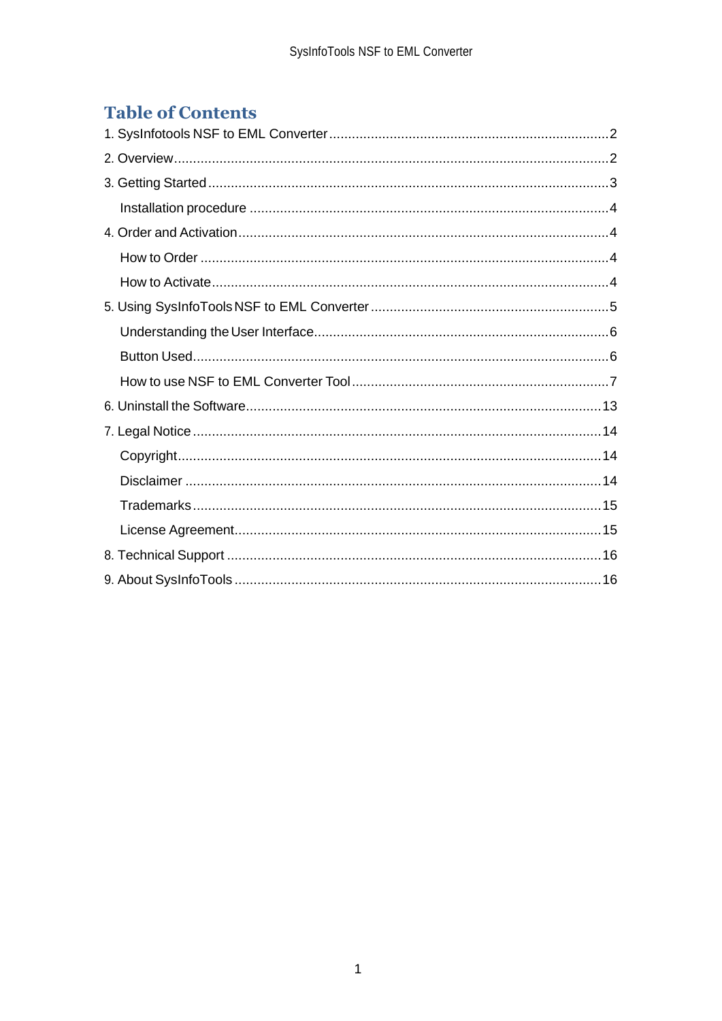# **Table of Contents**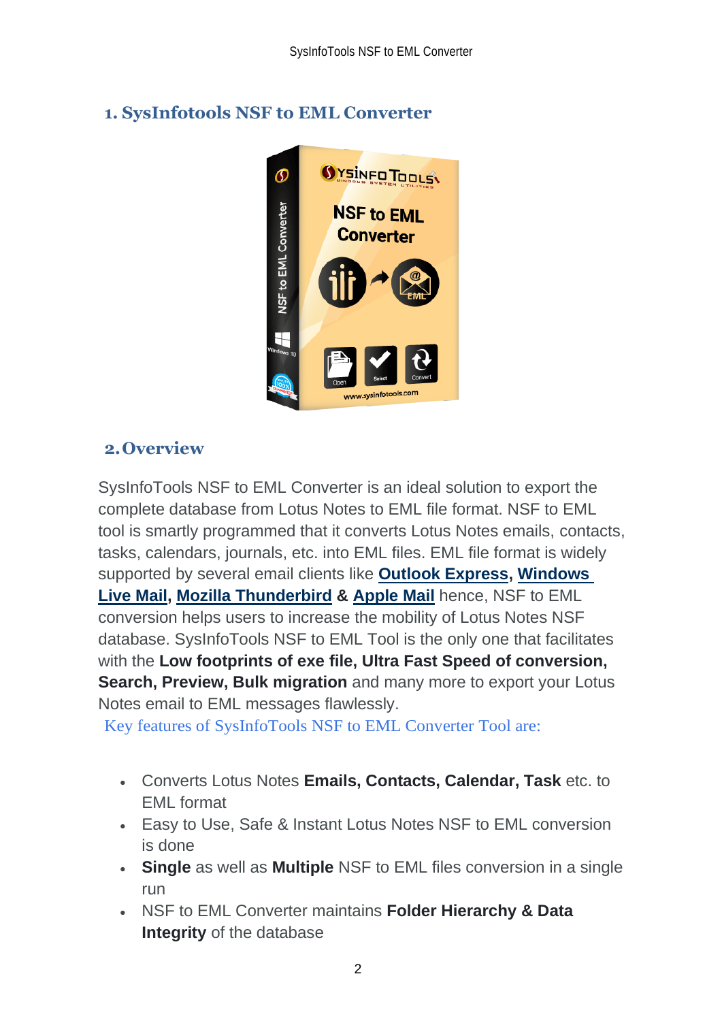<span id="page-2-0"></span>

# <span id="page-2-1"></span>**2.Overview**

SysInfoTools NSF to EML Converter is an ideal solution to export the complete database from Lotus Notes to EML file format. NSF to EML tool is smartly programmed that it converts Lotus Notes emails, contacts, tasks, calendars, journals, etc. into EML files. EML file format is widely supported by several email clients like **[Outlook Express,](http://sysinfotools.com/blog/export-lotus-notes-emails-to-eml/) [Windows](https://sysinfotools.com/blog/convert-lotus-notes-windows-live-mail/)  [Live Mail,](https://sysinfotools.com/blog/convert-lotus-notes-windows-live-mail/) [Mozilla Thunderbird](https://sysinfotools.com/blog/import-lotus-notes-to-thunderbird/) & [Apple Mail](https://sysinfotools.com/blog/lotus-notes-to-apple-mail/)** hence, NSF to EML conversion helps users to increase the mobility of Lotus Notes NSF database. SysInfoTools NSF to EML Tool is the only one that facilitates with the **Low footprints of exe file, Ultra Fast Speed of conversion, Search, Preview, Bulk migration** and many more to export your Lotus Notes email to EML messages flawlessly.

Key features of SysInfoTools NSF to EML Converter Tool are:

- Converts Lotus Notes **Emails, Contacts, Calendar, Task** etc. to EML format
- Easy to Use, Safe & Instant Lotus Notes NSF to EML conversion is done
- **Single** as well as **Multiple** NSF to EML files conversion in a single run
- NSF to EML Converter maintains **Folder Hierarchy & Data Integrity** of the database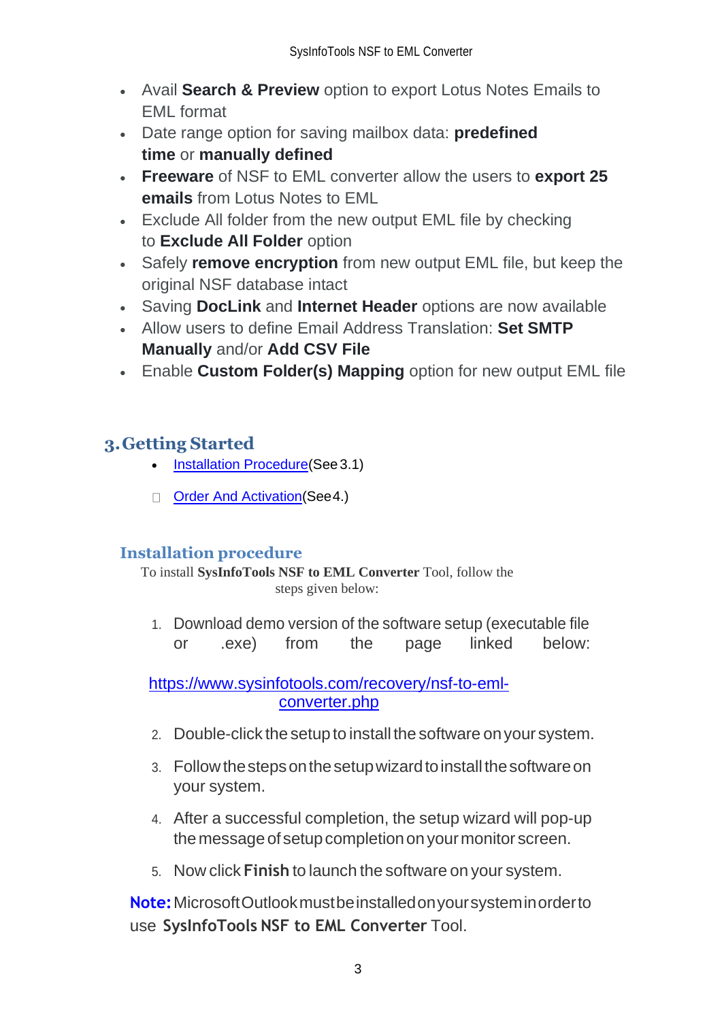- Avail **Search & Preview** option to export Lotus Notes Emails to EML format
- Date range option for saving mailbox data: **predefined time** or **manually defined**
- **Freeware** of NSF to EML converter allow the users to **export 25 emails** from Lotus Notes to EML
- Exclude All folder from the new output EML file by checking to **Exclude All Folder** option
- Safely **remove encryption** from new output EML file, but keep the original NSF database intact
- Saving **DocLink** and **Internet Header** options are now available
- Allow users to define Email Address Translation: **Set SMTP Manually** and/or **Add CSV File**
- Enable **Custom Folder(s) Mapping** option for new output EML file

# <span id="page-3-0"></span>**3.Getting Started**

- Installation Procedure (See 3.1)
- Order And Activation (See 4.)

## <span id="page-3-1"></span>**Installation procedure**

To install **SysInfoTools NSF to EML Converter** Tool, follow the steps given below:

1. Download demo version of the software setup (executable file or .exe) from the page linked below:

[https://www.sysinfotools.com/recovery/nsf-to-eml](https://www.sysinfotools.com/recovery/nsf-to-eml-converter.php)[converter.php](https://www.sysinfotools.com/recovery/nsf-to-eml-converter.php)

- 2. Double-click the setup to install the software onyour system.
- 3. Follow the steps on the setup wizard to install the software on your system.
- 4. After a successful completion, the setup wizard will pop-up the message of setup completion on your monitor screen.
- 5. Now click **Finish** to launch the software on your system.

**Note:**MicrosoftOutlookmustbeinstalledonyoursysteminorderto use **SysInfoTools NSF to EML Converter** Tool.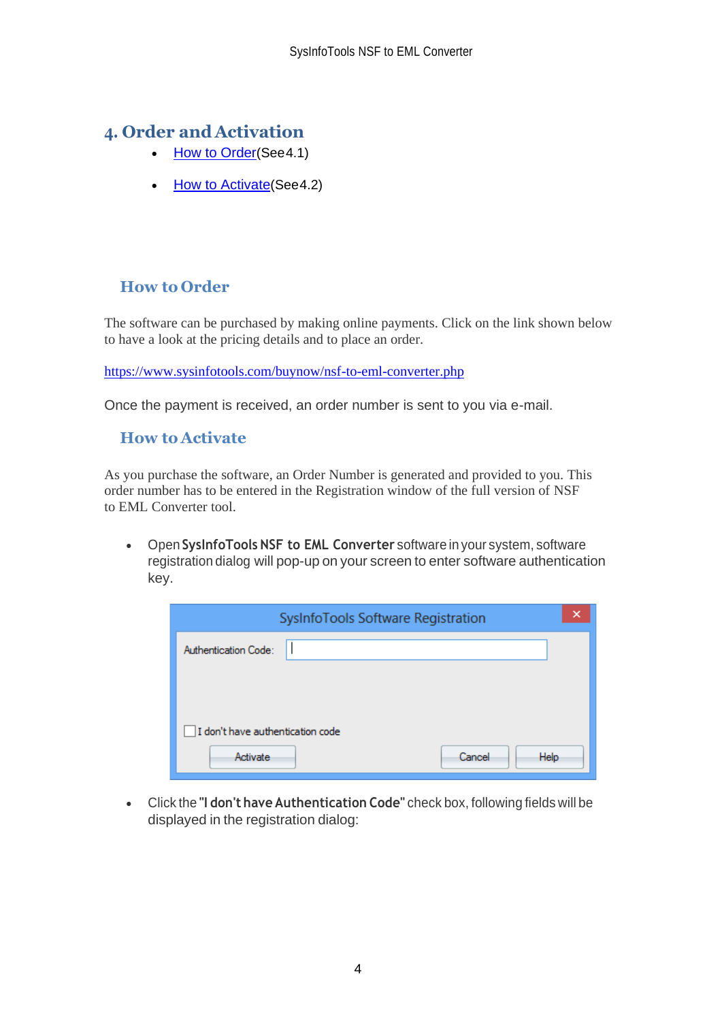## <span id="page-4-0"></span>**4. Order and Activation**

- [How to Order](#page-4-1)(See4.1)
- [How to Activate](#page-4-2)(See4.2)

## <span id="page-4-1"></span>**How to Order**

The software can be purchased by making online payments. Click on the link shown below to have a look at the pricing details and to place an order.

<https://www.sysinfotools.com/buynow/nsf-to-eml-converter.php>

Once the payment is received, an order number is sent to you via e-mail.

### <span id="page-4-2"></span>**How to Activate**

As you purchase the software, an Order Number is generated and provided to you. This order number has to be entered in the Registration window of the full version of NSF to EML Converter tool.

• Open **SysInfoTools NSF to EML Converter** software in your system, software registration dialog will pop-up on your screen to enter software authentication key.

| ×<br>SysInfoTools Software Registration |
|-----------------------------------------|
| Authentication Code:                    |
|                                         |
|                                         |
| I don't have authentication code        |
| Cancel<br>Help<br>Activate              |

• Click the **"I don't have Authentication Code"** check box, following fields will be displayed in the registration dialog: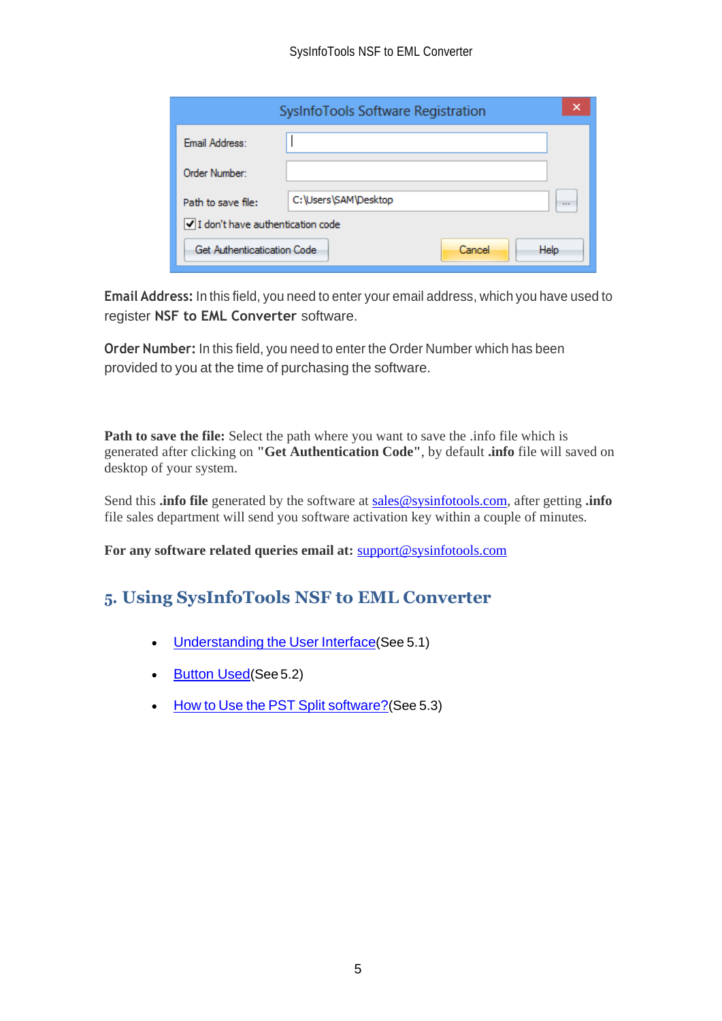|                                  | SysInfoTools Software Registration | ×        |
|----------------------------------|------------------------------------|----------|
| Email Address:                   |                                    |          |
| Order Number:                    |                                    |          |
| Path to save file:               | C:\Users\SAM\Desktop               | $\cdots$ |
| I don't have authentication code |                                    |          |
| Get Authenticatication Code      | Cancel<br><b>Help</b>              |          |

**Email Address:** In this field, you need to enter your email address, which you have used to register **NSF to EML Converter** software.

**Order Number:** In this field, you need to enter the Order Number which has been provided to you at the time of purchasing the software.

**Path to save the file:** Select the path where you want to save the .info file which is generated after clicking on **"Get Authentication Code"**, by default **.info** file will saved on desktop of your system.

Send this **.info file** generated by the software at [sales@sysinfotools.com,](mailto:sales@sysinfotools.com) after getting **.info** file sales department will send you software activation key within a couple of minutes.

**For any software related queries email at:** [support@sysinfotools.com](mailto:support@sysinfotools.com)

# <span id="page-5-0"></span>**5. Using SysInfoTools NSF to EML Converter**

- [Understanding](#page-5-1) the User Interface (See 5.1)
- [Button Used](#page-6-0)(See 5.2)
- <span id="page-5-1"></span>• How to Use the PST Split [software?](#page-7-0) (See 5.3)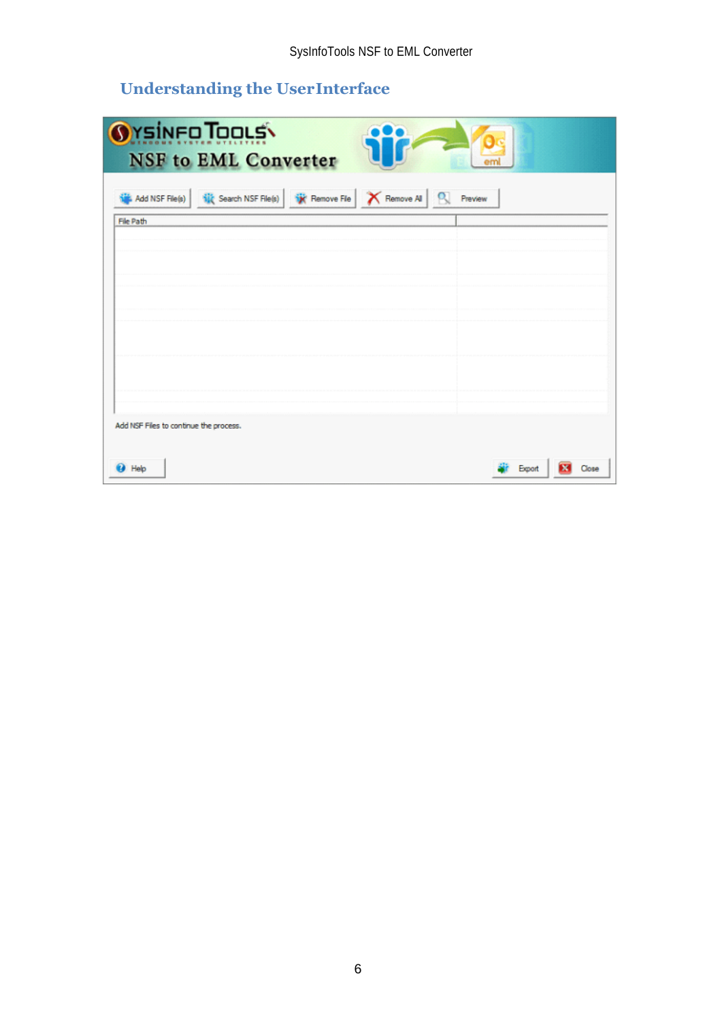# **Understanding the UserInterface**

<span id="page-6-0"></span>

| OYSINFO TOOLS<br><b>NSF</b> to EML Converter<br>em                                                          |       |
|-------------------------------------------------------------------------------------------------------------|-------|
| <b>Nit</b> Search NSF File(s) <b>Nix</b> Remove File <b>X</b> Remove Al <b>Q</b> Preview<br>Add NSF File(s) |       |
| File Path                                                                                                   |       |
|                                                                                                             |       |
|                                                                                                             |       |
|                                                                                                             |       |
| Add NSF Files to continue the process.                                                                      |       |
| <b>D</b> Help<br>Export                                                                                     | Close |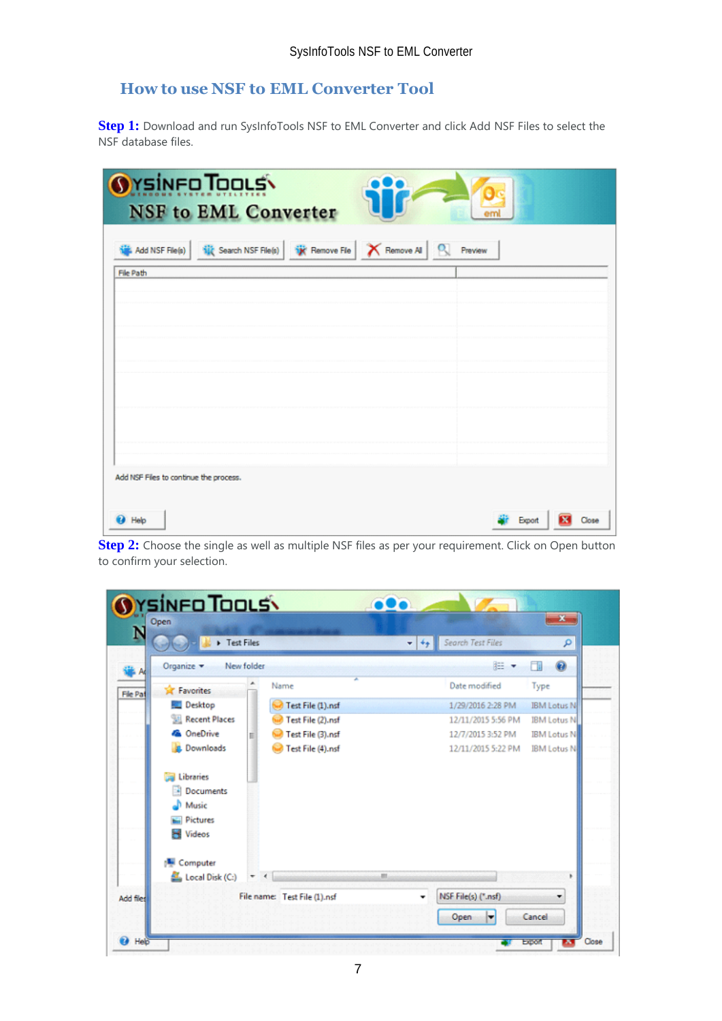## <span id="page-7-0"></span>**How to use NSF to EML Converter Tool**

**Step 1:** Download and run SysInfoTools NSF to EML Converter and click Add NSF Files to select the NSF database files.

| <b>OYSINFO TOOLS</b><br><b>NSF</b> to EML Converter                        |                 |
|----------------------------------------------------------------------------|-----------------|
| Add NSF File(s) 1 1 Search NSF File(s) W Remove File X Remove Al Q Preview |                 |
| File Path                                                                  |                 |
|                                                                            |                 |
|                                                                            |                 |
|                                                                            |                 |
|                                                                            |                 |
| Add NSF Files to continue the process.                                     |                 |
| <b>D</b> Help                                                              | Export<br>Close |

**Step 2:** Choose the single as well as multiple NSF files as per your requirement. Click on Open button to confirm your selection.

| F Test Files              |                              | Search Test Files<br>$-14$ | ۹                  |
|---------------------------|------------------------------|----------------------------|--------------------|
| Organize -<br>New folder  |                              | <b>注 ▼</b>                 | ₩                  |
| ۸<br><b>Sit Favorites</b> | Name                         | Date modified              | Type               |
| <b>Desktop</b>            | Test File (1).nsf            | 1/29/2016 2:28 PM          | <b>IBM Lotus N</b> |
| <b>Recent Places</b>      | Test File (2).nsf            | 12/11/2015 5:56 PM         | <b>IBM Lotus N</b> |
| <b>Ga</b> OneDrive<br>s   | Test File (3).nsf            | 12/7/2015 3:52 PM          | <b>IBM Lotus N</b> |
| <b>Ja.</b> Downloads      | Test File (4).nsf            | 12/11/2015 5:22 PM         | <b>IBM Lotus N</b> |
| Libraries                 |                              |                            |                    |
| Documents                 |                              |                            |                    |
| Music                     |                              |                            |                    |
| <b>Pictures</b>           |                              |                            |                    |
| Videos<br>×               |                              |                            |                    |
| Computer                  |                              |                            |                    |
| Local Disk (C:)           |                              | m                          |                    |
|                           | File name: Test File (1).nsf | NSF File(s) (".nsf)<br>٠   |                    |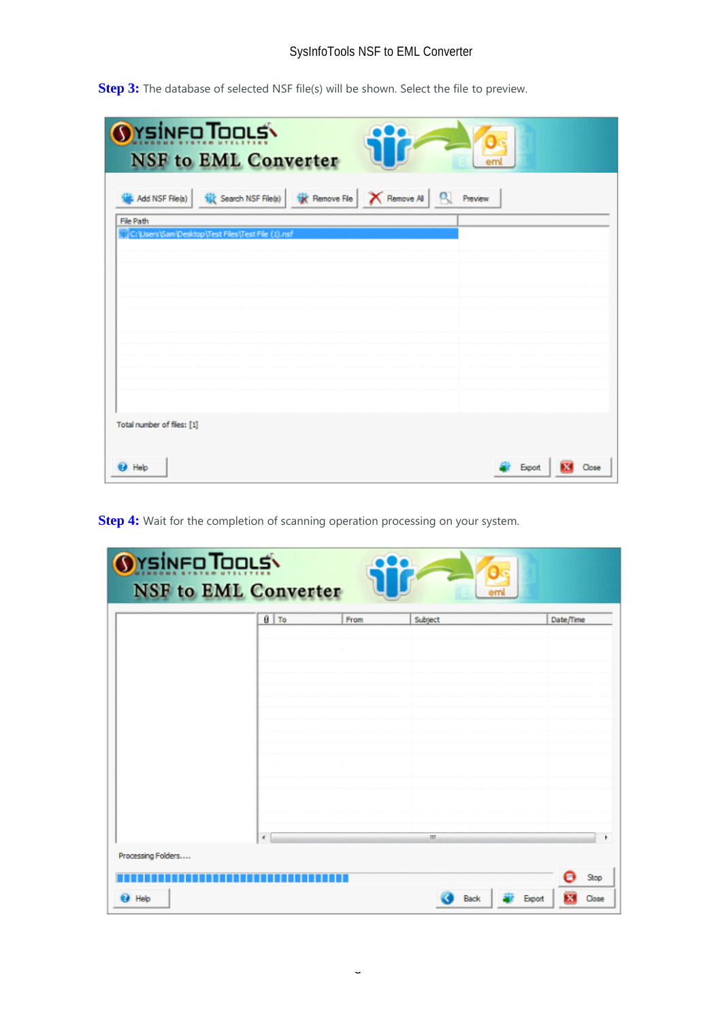**Step 3:** The database of selected NSF file(s) will be shown. Select the file to preview.

| <b>OYSINFO TOOLS</b><br><b>NSF</b> to EML Converter                                        |         |
|--------------------------------------------------------------------------------------------|---------|
| <b>Nix</b> Search NSF File(s) <b>W</b> Remove File   X Remove Al  <br>q<br>Add NSF File(s) | Preview |
| File Path                                                                                  |         |
| C:\Users\Sam\Desktop\Test Files\Test File (1).nsf                                          |         |
|                                                                                            |         |
|                                                                                            |         |
|                                                                                            |         |
|                                                                                            |         |
|                                                                                            |         |
|                                                                                            |         |
|                                                                                            |         |
|                                                                                            |         |
|                                                                                            |         |
|                                                                                            |         |
|                                                                                            |         |
| Total number of files: [1]                                                                 |         |
|                                                                                            |         |
| Help                                                                                       | Qose    |
|                                                                                            |         |

**Step 4:** Wait for the completion of scanning operation processing on your system.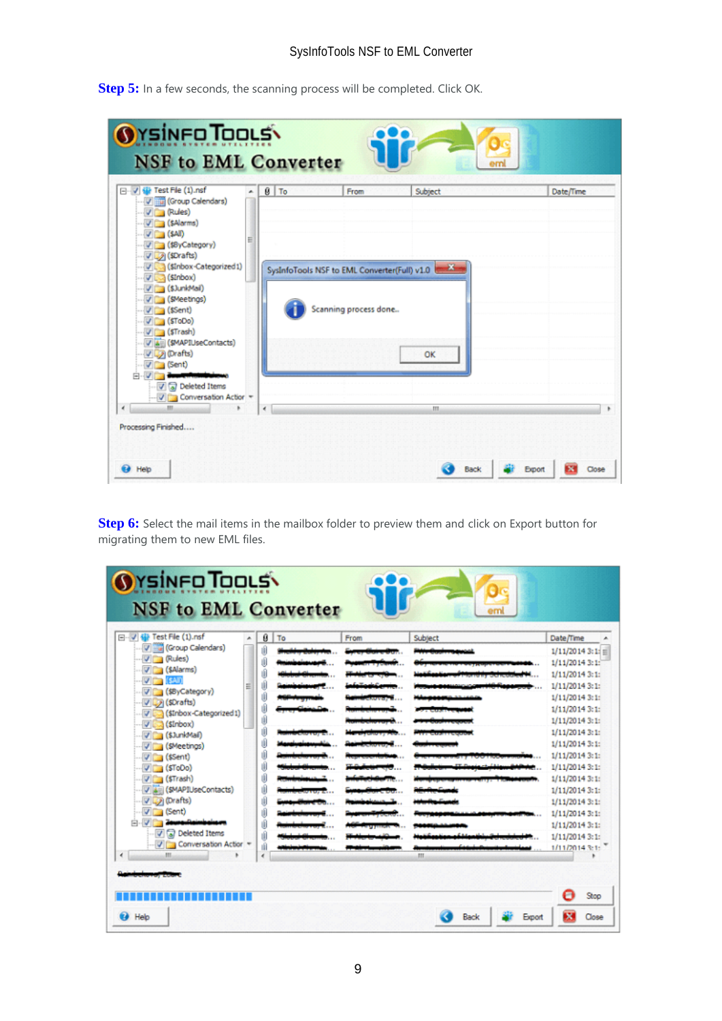**Step 5:** In a few seconds, the scanning process will be completed. Click OK.

| □ √ Vie Test File (1) nsf<br>Villa (Group Calendars)<br>V (Rules)<br>$\sqrt{5}$ (\$Alarms)                                                                                                 | $0$ To<br>×. | From                  | Subject                                      | Date/Time |
|--------------------------------------------------------------------------------------------------------------------------------------------------------------------------------------------|--------------|-----------------------|----------------------------------------------|-----------|
| $\sim$ $\sqrt{2}$ (\$AI)<br>U (\$ByCategory)<br>V (SDrafts)<br>U (SInbox-Categorized1)<br>V Ca (Sinbox)<br>- Villa (SJunkMail)<br>·· ▽ (SMeetings)<br>$V = (sSent)$<br>(SToDo)<br>(STrash) | Ξ            | Scanning process done | SysInfoTools NSF to EML Converter(Full) v1.0 |           |
| V 4 (SMAPIUseContacts)<br>V Drafts)<br>$\triangledown$ (Sent)<br>$\sqrt{a}$ Deleted Items<br>V Conversation Action =<br>m.                                                                 | $\epsilon$   |                       | OK<br>m.                                     |           |

**Step 6:** Select the mail items in the mailbox folder to preview them and click on Export button for migrating them to new EML files.

| <b>OYSINFO TOOLS</b><br><b>NSF</b> to EML Converter                                                                                                                                                                                                                                                                                                                                                          |                                                                                                |      | eml            |                                                                                                                                                                                                                                                                                                                                                           |
|--------------------------------------------------------------------------------------------------------------------------------------------------------------------------------------------------------------------------------------------------------------------------------------------------------------------------------------------------------------------------------------------------------------|------------------------------------------------------------------------------------------------|------|----------------|-----------------------------------------------------------------------------------------------------------------------------------------------------------------------------------------------------------------------------------------------------------------------------------------------------------------------------------------------------------|
| 日 V 键 Test File (1).nsf<br>A.<br>Group Calendars)<br>V (Rules)<br>V (\$Alarms)<br>$V = (540)$<br>Ξ<br>V (\$8yCategory)<br>V (SDrafts)<br>(\$Inbox-Categorized1)<br>$\sqrt{3}$ (Sinbox)<br>V (StunkMail)<br>V (SMeetings)<br>$\nabla$ (\$Sent)<br>$V = (5ToDo)$<br>$\nabla$ (\$Trash)<br>VA (SMAPIUseContacts)<br>V Drafts)<br>$\vee$ (Sent)<br><b>V</b> a Deleted Items<br>J Conversation Action +<br>m<br>× | ø<br>To<br>ıĤ<br>ú<br>ıÑ<br>Ú<br>ú<br>ú<br>ú<br>ú<br>Ú<br>ıŪ<br>ú<br>ú<br>ú<br>ıÑ<br>ıfi<br>ıĤ | From | Subject<br>ш   | Date/Time<br>1/11/20143:1:<br>1/11/20143:11<br>1/11/20143:1:<br>$1/11/20143:1$ :<br>1/11/20143:11<br>$1/11/20143:1$ :<br>1/11/20143:1<br>$1/11/20143:1$ :<br>$1/11/20143:1$ :<br>$1/11/20143:1$ :<br>1/11/2014 3:1:<br>$1/11/20143:1$ :<br>$1/11/20143:1$ :<br>1/11/20143:1:<br>$1/11/20143:1$ :<br>$1/11/20143:1$ :<br>$1/11/20143:1$ :<br>1/11/20143:1: |
| @ Help                                                                                                                                                                                                                                                                                                                                                                                                       |                                                                                                |      | Back<br>Export | Stop<br>×<br>Close                                                                                                                                                                                                                                                                                                                                        |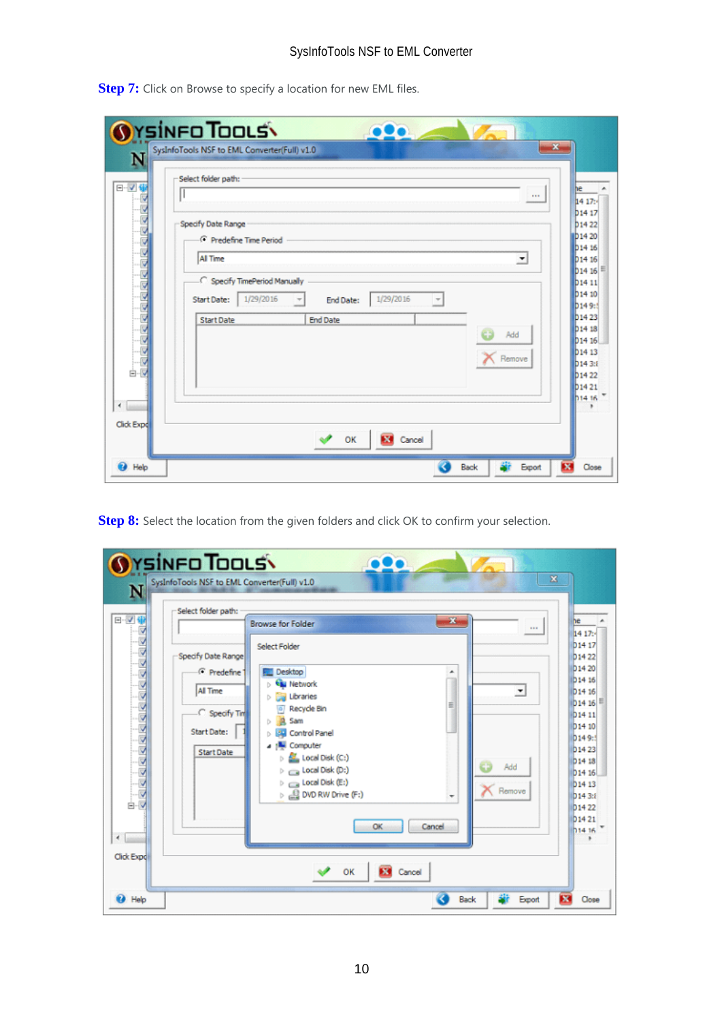**Step 7:** Click on Browse to specify a location for new EML files.

| N                          | <b>OYSINFO TOOLS\</b><br><b>100</b><br>$-x$<br>SysInfoTools NSF to EML Converter(Full) v1.0                                                                                                                                                                                                                                                                                                                                                                                                                                                                                                              |
|----------------------------|----------------------------------------------------------------------------------------------------------------------------------------------------------------------------------------------------------------------------------------------------------------------------------------------------------------------------------------------------------------------------------------------------------------------------------------------------------------------------------------------------------------------------------------------------------------------------------------------------------|
| $\boxminus$ $\blacksquare$ | Select folder path:<br>he<br><br>14 17:                                                                                                                                                                                                                                                                                                                                                                                                                                                                                                                                                                  |
| 白<br>$\epsilon$            | <b>b</b> 14 17<br>Specify Date Range<br><b>b</b> 1422<br>b <sub>14</sub> 20<br><b>G</b> Predefine Time Period<br>b <sub>14</sub> 16<br>All Time<br>츠<br>D <sub>14</sub> 16<br>$b_{14}$ 16 $\pm$<br>C Specify TimePeriod Manually<br>b14 11<br>b <sub>14</sub> 10<br>1/29/2016<br>1/29/2016<br><b>Start Date:</b><br><b>End Date:</b><br>$\overline{\phantom{a}}$<br>b <sub>149:5</sub><br>b <sub>1423</sub><br><b>End Date</b><br><b>Start Date</b><br>b <sub>14</sub> 18<br>Add<br>D <sub>14</sub> 16<br>b <sub>14</sub> 13<br>Remove<br><b>b143:8</b><br><b>D1422</b><br><b>b</b> 1421<br><b>b1416</b> |
| Click Expd                 | <b>Ed</b> Cancel<br>OK                                                                                                                                                                                                                                                                                                                                                                                                                                                                                                                                                                                   |

**Step 8:** Select the location from the given folders and click OK to confirm your selection.

| N                                            | <b>OYSINFO TOOLS\</b><br>$\bullet\bullet\bullet$<br>×<br>SysInfoTools NSF to EML Converter(Full) v1.0<br>Select folder path:                                                                                                                                                                                                                                                                                                                                                                                                                                                                                                                 |                                                                                                                                                                                                                                                                                                 |
|----------------------------------------------|----------------------------------------------------------------------------------------------------------------------------------------------------------------------------------------------------------------------------------------------------------------------------------------------------------------------------------------------------------------------------------------------------------------------------------------------------------------------------------------------------------------------------------------------------------------------------------------------------------------------------------------------|-------------------------------------------------------------------------------------------------------------------------------------------------------------------------------------------------------------------------------------------------------------------------------------------------|
| 日マ俳<br>白収<br>$\langle \rangle$<br>Click Expd | $\mathbf{x}_i$<br><b>Browse for Folder</b><br>1.11<br>Select Folder<br>Specify Date Range<br><sup>6</sup> Predefine<br>Desktop<br><b>Network</b><br><b>All Time</b><br>츠<br>Libraries<br>Ъ<br>Ξ<br>Recycle Bin<br>C Specify Tim<br>Sam<br>ь<br><b>Start Date:</b><br>Control Panel<br>b.<br>4   Computer<br><b>Start Date</b><br>$\triangleright$ $\leq$ Local Disk (C:)<br>cэ<br>Add<br>$\triangleright \ \text{mod}$ Disk (D:)<br>$\triangleright$ $\equiv$ Local Disk (E:)<br>Remove<br>$\triangleright$ $\stackrel{\triangle}{\longrightarrow}$ DVD RW Drive (F:)<br>$\overline{\phantom{a}}$<br>OK<br>Cancel<br>OK<br><b>EXI</b> Cancel | he<br>14 17:<br>D <sub>14</sub> 17<br><b>b1422</b><br>D <sub>14</sub> 20<br>D <sub>14</sub> 16<br>D <sub>14</sub> 16<br>  b  14  16  <br><b>D1411</b><br>D <sub>14</sub> 10<br>D149:1<br><b>b1423</b><br><b>D1418</b><br>$b$ 14 16<br><b>D1413</b><br>b1433<br>D14 22<br><b>b1421</b><br>014.16 |
| <sup>2</sup> Help                            | ×<br>Back<br>Export                                                                                                                                                                                                                                                                                                                                                                                                                                                                                                                                                                                                                          | Close                                                                                                                                                                                                                                                                                           |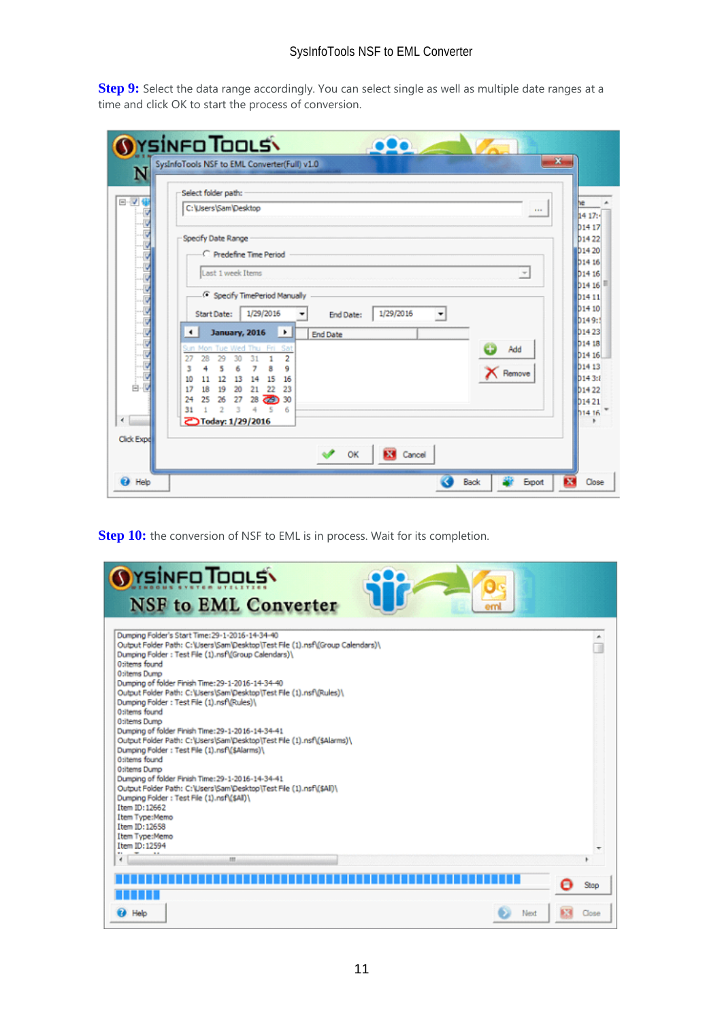**Step 9:** Select the data range accordingly. You can select single as well as multiple date ranges at a time and click OK to start the process of conversion.

| Select folder path:                                                                                                                                                                                                                                                                                                                                                                                                                                                                                                                                  |
|------------------------------------------------------------------------------------------------------------------------------------------------------------------------------------------------------------------------------------------------------------------------------------------------------------------------------------------------------------------------------------------------------------------------------------------------------------------------------------------------------------------------------------------------------|
| C:\Users\Sam\Desktop<br>1.1.1                                                                                                                                                                                                                                                                                                                                                                                                                                                                                                                        |
| Specify Date Range<br>C Predefine Time Period<br>Last 1 week Items<br>$\overline{\phantom{a}}$<br><b>C</b> Specify TimePeriod Manually<br>1/29/2016<br>1/29/2016<br><b>Start Date:</b><br><b>End Date:</b><br>≛<br><b>January, 2016</b><br>$\blacksquare$<br>۰<br><b>End Date</b><br>Sun Mon Tue Wed Thu Fri<br>Sat<br>Add<br>Ð<br>2<br>27<br>28<br>29<br>30<br>31<br>9<br>5<br>ŝ<br>6<br>з<br>K Remove<br>12<br>15<br>13<br>14<br>16<br>10<br>11<br>20<br>23<br>18<br>19<br>21<br>22<br>17<br>ක<br>30<br>27<br>24<br>25<br>26<br>28<br>31<br>e<br>6 |
| <b>ごToday: 1/29/2016</b>                                                                                                                                                                                                                                                                                                                                                                                                                                                                                                                             |

**Step 10:** the conversion of NSF to EML is in process. Wait for its completion.

| <b>OYSINFO TOOLS</b><br><b>NSF</b> to EML Converter<br>em                                                                                                                                                                                                                                                                                                    |       |
|--------------------------------------------------------------------------------------------------------------------------------------------------------------------------------------------------------------------------------------------------------------------------------------------------------------------------------------------------------------|-------|
| Dumping Folder's Start Time: 29-1-2016-14-34-40<br>Output Folder Path: C:\Users\Sam\Desktop\Test File (1).nsf\(Group Calendars)\<br>Dumping Folder: Test File (1).nsf\(Group Calendars)\<br>O:items found<br><b>O:items Dump</b><br>Dumping of folder Finish Time: 29-1-2016-14-34-40<br>Output Folder Path: C:\Users\Sam\Desktop\Test File (1).nsf\(Rules)\ |       |
| Dumping Folder: Test File (1).nsf\(Rules)\<br>O:items found<br>O:items Dumo<br>Dumping of folder Finish Time: 29-1-2016-14-34-41<br>Output Folder Path: C:\Users\Sam\Desktop\Test File (1).nsf\(\$Alarms)\<br>Dumping Folder: Test File (1).nsf\(\$Alarms)\<br>O:items found                                                                                 |       |
| <b>O:items Dump</b><br>Dumping of folder Finish Time: 29-1-2016-14-34-41<br>Output Folder Path: C:\Users\Sam\Desktop\Test File (1).nsf\(\$All)\<br>Dumping Folder: Test File (1).nsf\(\$All)\<br>Item ID: 12662<br>Item Type:Memo<br>Item ID: 12658                                                                                                          |       |
| Item Type:Memo<br>Item ID: 12594<br>m                                                                                                                                                                                                                                                                                                                        |       |
| . .                                                                                                                                                                                                                                                                                                                                                          | Stop  |
| <b>CA</b> Help<br>Next                                                                                                                                                                                                                                                                                                                                       | Close |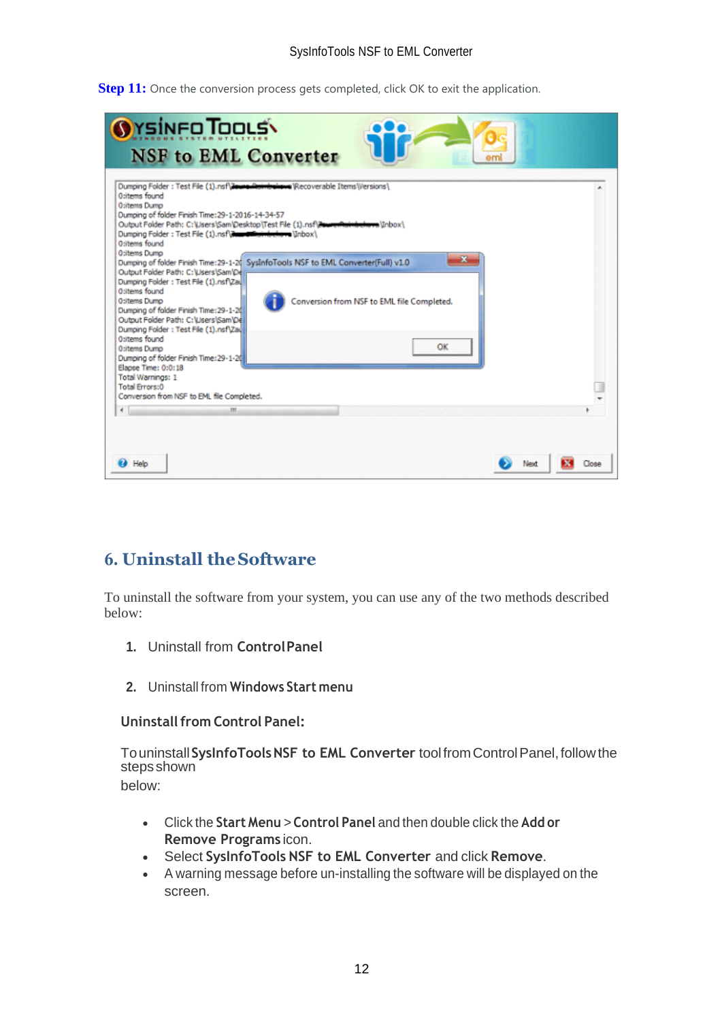**Step 11:** Once the conversion process gets completed, click OK to exit the application.

| <b>OYSINFO TOOLS\</b><br><b>NSF</b> to EML Converter                                                                                                                                                                                                                                                                                                                                                                                                                                                                                                                                                                                                                                                                                                                                                                                                                                                                                                                               |       |
|------------------------------------------------------------------------------------------------------------------------------------------------------------------------------------------------------------------------------------------------------------------------------------------------------------------------------------------------------------------------------------------------------------------------------------------------------------------------------------------------------------------------------------------------------------------------------------------------------------------------------------------------------------------------------------------------------------------------------------------------------------------------------------------------------------------------------------------------------------------------------------------------------------------------------------------------------------------------------------|-------|
| Dumping Folder: Test File (1).nsf\JewenRaimbehave\Recoverable Items\Versions\<br>O:items found<br><b>O:items Dump</b><br>Dumping of folder Finish Time: 29-1-2016-14-34-57<br>Output Folder Path: C:\Lisers\Sam\Desktop\Test File (1).nsf\ZaureRainbelanna\Inbox\<br>Dumping Folder: Test File (1).nsf\dumontuindedwire\Inbox\<br>O:items found<br>O:items Dumo<br>×<br>Dumping of folder Finish Time: 29-1-20 SysInfoTools NSF to EML Converter(Full) v1.0<br>Output Folder Path: C:\Users\Sam\De<br>Dumping Folder: Test File (1).nsf\Zau<br>O:items found<br><b>O:items Dump</b><br>Conversion from NSF to EML file Completed.<br>Dumping of folder Finish Time: 29-1-20<br>Output Folder Path: C:\Users\Sam\De<br>Dumping Folder: Test File (1).nsf\Zau<br>O:items found<br>ОК<br>O:items Dumo<br>Dumping of folder Finish Time: 29-1-20<br>Elapse Time: 0:0:18<br>Total Warnings: 1<br><b>Total Errors:0</b><br>Conversion from NSF to EML file Completed.<br>$\epsilon$<br>m |       |
| Help                                                                                                                                                                                                                                                                                                                                                                                                                                                                                                                                                                                                                                                                                                                                                                                                                                                                                                                                                                               | Close |

# <span id="page-12-0"></span>**6. Uninstall theSoftware**

To uninstall the software from your system, you can use any of the two methods described below:

- **1.** Uninstall from **ControlPanel**
- **2.** Uninstall from **Windows Start menu**

#### **Uninstall from Control Panel:**

Touninstall**SysInfoToolsNSF to EML Converter** toolfromControlPanel,followthe stepsshown

below:

- Click the **Start Menu** > **Control Panel** and then double click the **Add or Remove Programs** icon.
- Select **SysInfoTools NSF to EML Converter** and click **Remove**.
- A warning message before un-installing the software will be displayed on the screen.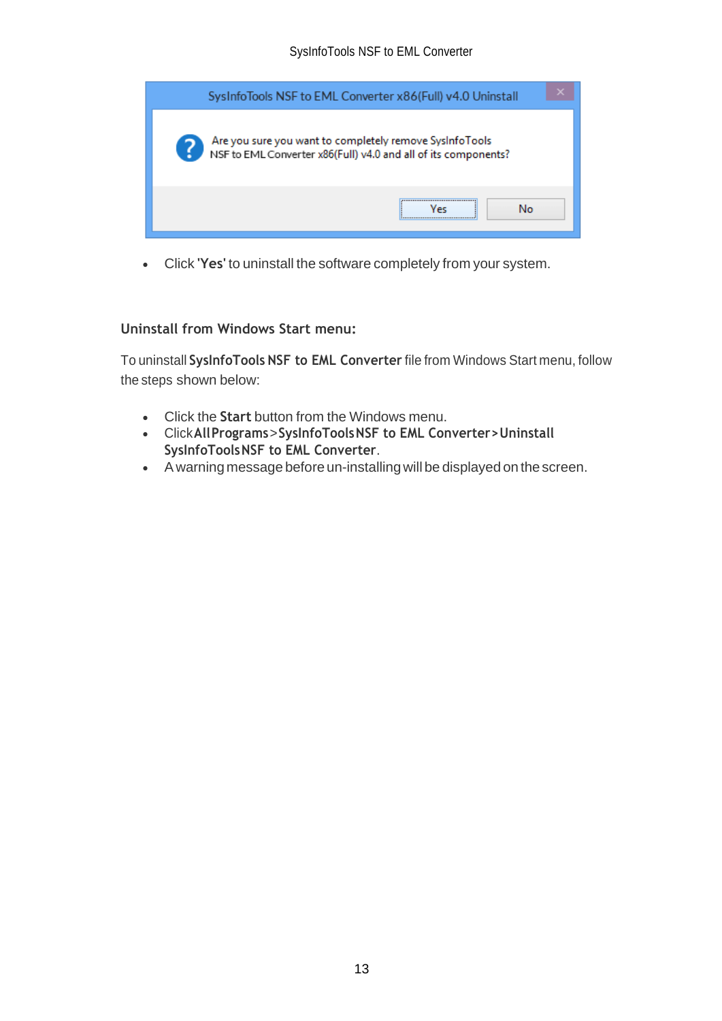| SysInfoTools NSF to EML Converter x86(Full) v4.0 Uninstall                                                                |
|---------------------------------------------------------------------------------------------------------------------------|
| Are you sure you want to completely remove SysInfoTools<br>NSF to EML Converter x86(Full) v4.0 and all of its components? |
| <br>No                                                                                                                    |

• Click **'Yes'** to uninstall the software completely from your system.

#### **Uninstall from Windows Start menu:**

To uninstall **SysInfoTools NSF to EML Converter** file from Windows Start menu, follow the steps shown below:

- Click the **Start** button from the Windows menu.
- Click**AllPrograms**>**SysInfoToolsNSF to EML Converter>Uninstall SysInfoToolsNSF to EML Converter**.
- A warning message before un-installingwill be displayed on the screen.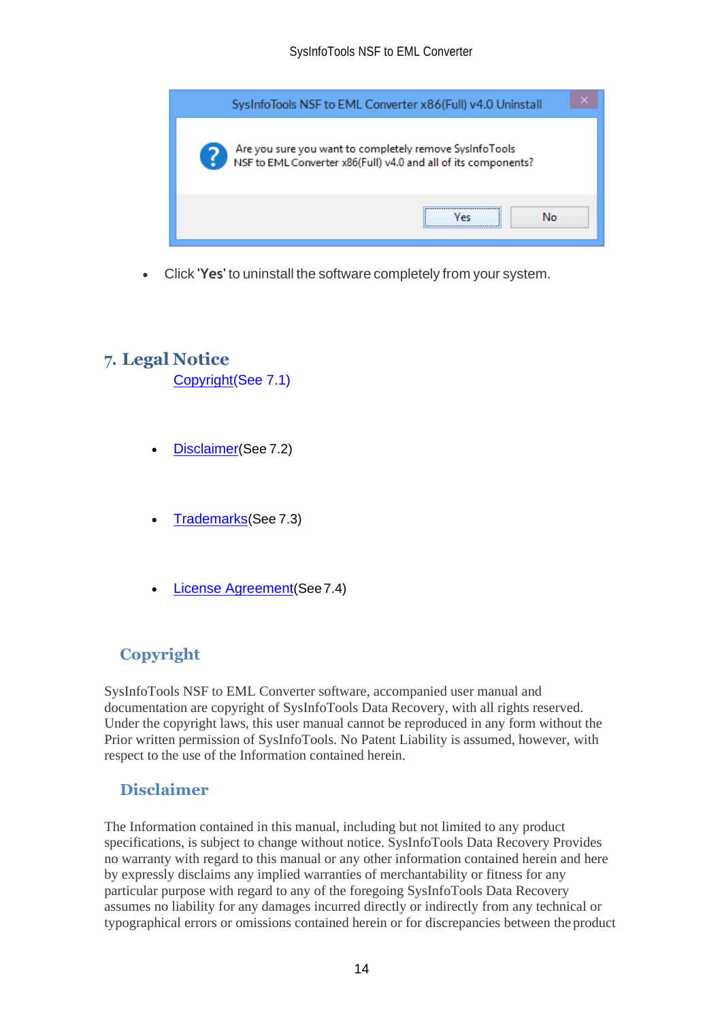

• Click **'Yes'** to uninstall the software completely from your system.

## <span id="page-14-0"></span>**7. Legal Notice**

[Copyright\(](#page-14-1)See 7.1)

- [Disclaimer](#page-14-2)(See 7.2)
- [Trademarks](#page-15-0)(See 7.3)
- [License Agreement](#page-15-1)(See7.4)

# <span id="page-14-1"></span>**Copyright**

SysInfoTools NSF to EML Converter software, accompanied user manual and documentation are copyright of SysInfoTools Data Recovery, with all rights reserved. Under the copyright laws, this user manual cannot be reproduced in any form without the Prior written permission of SysInfoTools. No Patent Liability is assumed, however, with respect to the use of the Information contained herein.

## <span id="page-14-2"></span>**Disclaimer**

The Information contained in this manual, including but not limited to any product specifications, is subject to change without notice. SysInfoTools Data Recovery Provides no warranty with regard to this manual or any other information contained herein and here by expressly disclaims any implied warranties of merchantability or fitness for any particular purpose with regard to any of the foregoing SysInfoTools Data Recovery assumes no liability for any damages incurred directly or indirectly from any technical or typographical errors or omissions contained herein or for discrepancies between the product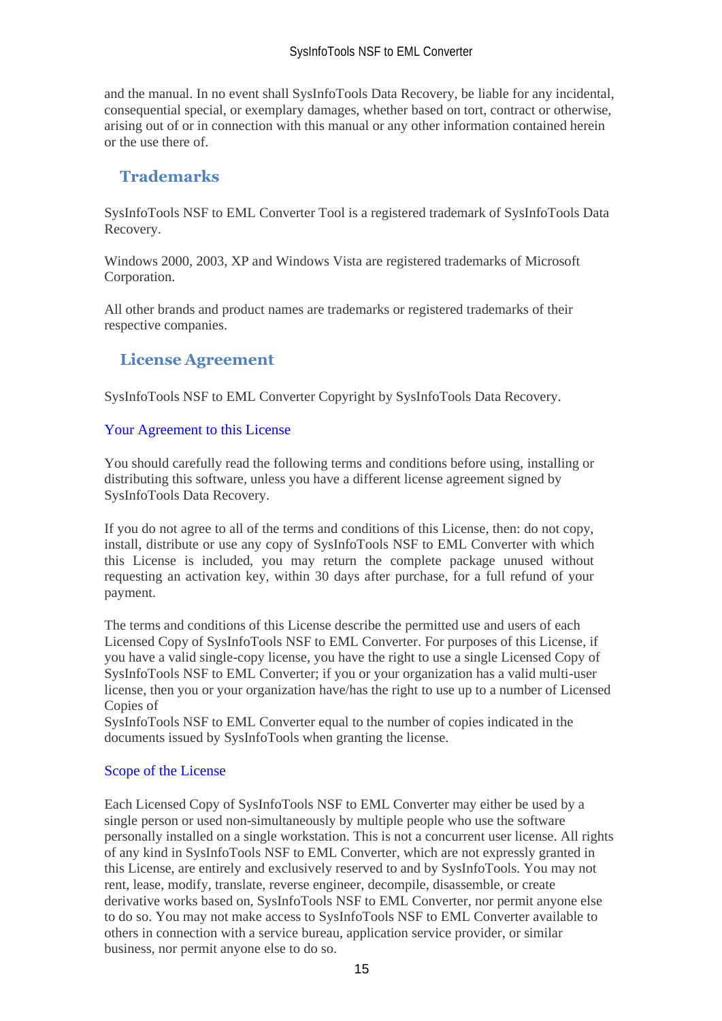and the manual. In no event shall SysInfoTools Data Recovery, be liable for any incidental, consequential special, or exemplary damages, whether based on tort, contract or otherwise, arising out of or in connection with this manual or any other information contained herein or the use there of.

## <span id="page-15-0"></span>**Trademarks**

SysInfoTools NSF to EML Converter Tool is a registered trademark of SysInfoTools Data Recovery.

Windows 2000, 2003, XP and Windows Vista are registered trademarks of Microsoft Corporation.

All other brands and product names are trademarks or registered trademarks of their respective companies.

## <span id="page-15-1"></span>**License Agreement**

SysInfoTools NSF to EML Converter Copyright by SysInfoTools Data Recovery.

#### Your Agreement to this License

You should carefully read the following terms and conditions before using, installing or distributing this software, unless you have a different license agreement signed by SysInfoTools Data Recovery.

If you do not agree to all of the terms and conditions of this License, then: do not copy, install, distribute or use any copy of SysInfoTools NSF to EML Converter with which this License is included, you may return the complete package unused without requesting an activation key, within 30 days after purchase, for a full refund of your payment.

The terms and conditions of this License describe the permitted use and users of each Licensed Copy of SysInfoTools NSF to EML Converter. For purposes of this License, if you have a valid single-copy license, you have the right to use a single Licensed Copy of SysInfoTools NSF to EML Converter; if you or your organization has a valid multi-user license, then you or your organization have/has the right to use up to a number of Licensed Copies of

SysInfoTools NSF to EML Converter equal to the number of copies indicated in the documents issued by SysInfoTools when granting the license.

#### Scope of the License

Each Licensed Copy of SysInfoTools NSF to EML Converter may either be used by a single person or used non-simultaneously by multiple people who use the software personally installed on a single workstation. This is not a concurrent user license. All rights of any kind in SysInfoTools NSF to EML Converter, which are not expressly granted in this License, are entirely and exclusively reserved to and by SysInfoTools. You may not rent, lease, modify, translate, reverse engineer, decompile, disassemble, or create derivative works based on, SysInfoTools NSF to EML Converter, nor permit anyone else to do so. You may not make access to SysInfoTools NSF to EML Converter available to others in connection with a service bureau, application service provider, or similar business, nor permit anyone else to do so.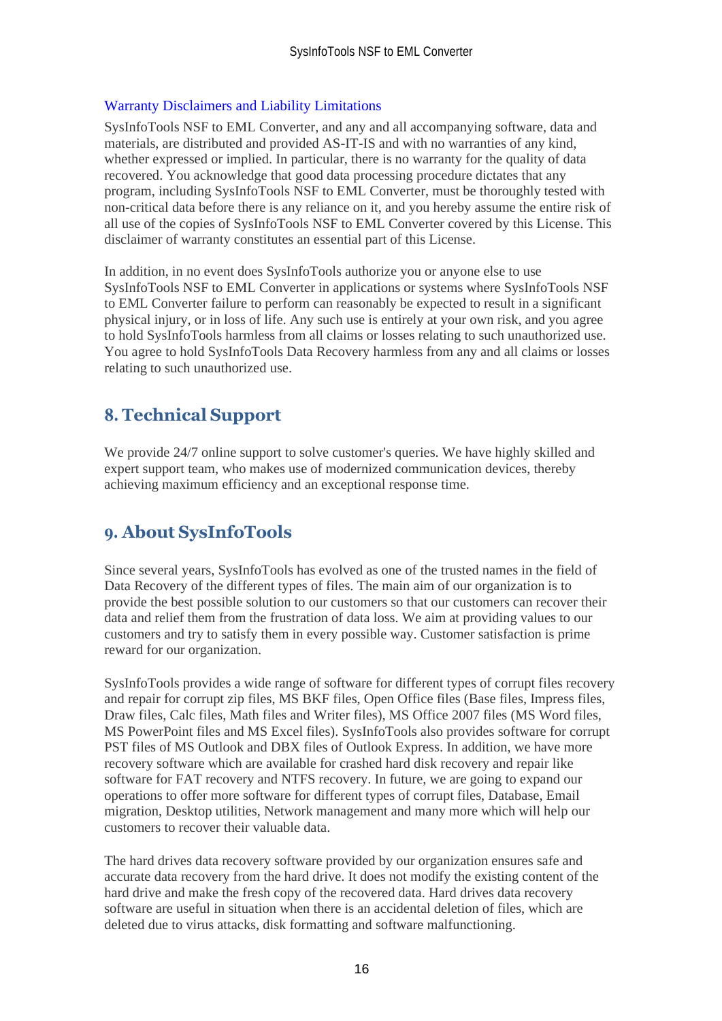#### Warranty Disclaimers and Liability Limitations

SysInfoTools NSF to EML Converter, and any and all accompanying software, data and materials, are distributed and provided AS-IT-IS and with no warranties of any kind, whether expressed or implied. In particular, there is no warranty for the quality of data recovered. You acknowledge that good data processing procedure dictates that any program, including SysInfoTools NSF to EML Converter, must be thoroughly tested with non-critical data before there is any reliance on it, and you hereby assume the entire risk of all use of the copies of SysInfoTools NSF to EML Converter covered by this License. This disclaimer of warranty constitutes an essential part of this License.

In addition, in no event does SysInfoTools authorize you or anyone else to use SysInfoTools NSF to EML Converter in applications or systems where SysInfoTools NSF to EML Converter failure to perform can reasonably be expected to result in a significant physical injury, or in loss of life. Any such use is entirely at your own risk, and you agree to hold SysInfoTools harmless from all claims or losses relating to such unauthorized use. You agree to hold SysInfoTools Data Recovery harmless from any and all claims or losses relating to such unauthorized use.

## <span id="page-16-0"></span>**8. Technical Support**

We provide 24/7 online support to solve customer's queries. We have highly skilled and expert support team, who makes use of modernized communication devices, thereby achieving maximum efficiency and an exceptional response time.

## <span id="page-16-1"></span>**9. About SysInfoTools**

Since several years, SysInfoTools has evolved as one of the trusted names in the field of Data Recovery of the different types of files. The main aim of our organization is to provide the best possible solution to our customers so that our customers can recover their data and relief them from the frustration of data loss. We aim at providing values to our customers and try to satisfy them in every possible way. Customer satisfaction is prime reward for our organization.

SysInfoTools provides a wide range of software for different types of corrupt files recovery and repair for corrupt zip files, MS BKF files, Open Office files (Base files, Impress files, Draw files, Calc files, Math files and Writer files), MS Office 2007 files (MS Word files, MS PowerPoint files and MS Excel files). SysInfoTools also provides software for corrupt PST files of MS Outlook and DBX files of Outlook Express. In addition, we have more recovery software which are available for crashed hard disk recovery and repair like software for FAT recovery and NTFS recovery. In future, we are going to expand our operations to offer more software for different types of corrupt files, Database, Email migration, Desktop utilities, Network management and many more which will help our customers to recover their valuable data.

The hard drives data recovery software provided by our organization ensures safe and accurate data recovery from the hard drive. It does not modify the existing content of the hard drive and make the fresh copy of the recovered data. Hard drives data recovery software are useful in situation when there is an accidental deletion of files, which are deleted due to virus attacks, disk formatting and software malfunctioning.